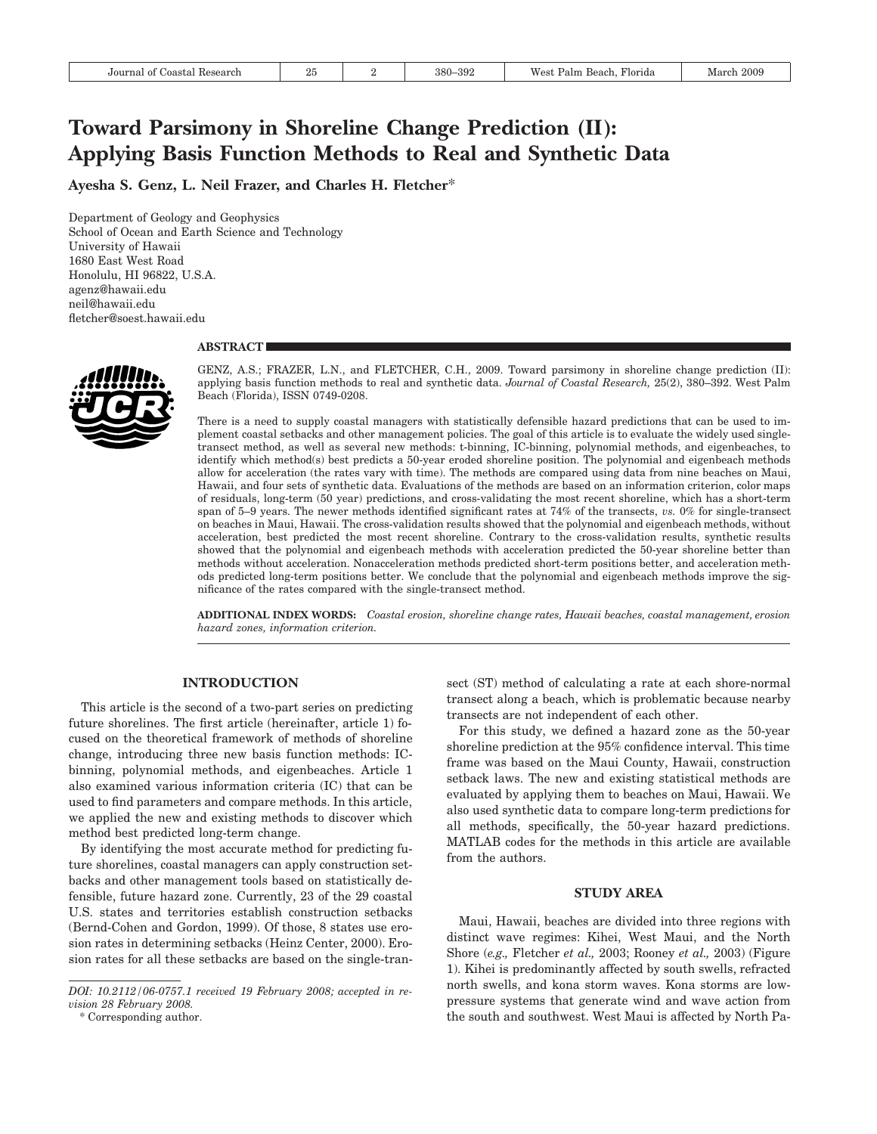# **Toward Parsimony in Shoreline Change Prediction (II): Applying Basis Function Methods to Real and Synthetic Data**

**Ayesha S. Genz, L. Neil Frazer, and Charles H. Fletcher**\*

Department of Geology and Geophysics School of Ocean and Earth Science and Technology University of Hawaii 1680 East West Road Honolulu, HI 96822, U.S.A. agenz@hawaii.edu neil@hawaii.edu fletcher@soest.hawaii.edu

### **ABSTRACT**



GENZ, A.S.; FRAZER, L.N., and FLETCHER, C.H., 2009. Toward parsimony in shoreline change prediction (II): applying basis function methods to real and synthetic data. *Journal of Coastal Research,* 25(2), 380–392. West Palm Beach (Florida), ISSN 0749-0208.

There is a need to supply coastal managers with statistically defensible hazard predictions that can be used to implement coastal setbacks and other management policies. The goal of this article is to evaluate the widely used singletransect method, as well as several new methods: t-binning, IC-binning, polynomial methods, and eigenbeaches, to identify which method(s) best predicts a 50-year eroded shoreline position. The polynomial and eigenbeach methods allow for acceleration (the rates vary with time). The methods are compared using data from nine beaches on Maui, Hawaii, and four sets of synthetic data. Evaluations of the methods are based on an information criterion, color maps of residuals, long-term (50 year) predictions, and cross-validating the most recent shoreline, which has a short-term span of 5–9 years. The newer methods identified significant rates at 74% of the transects, *vs.* 0% for single-transect on beaches in Maui, Hawaii. The cross-validation results showed that the polynomial and eigenbeach methods, without acceleration, best predicted the most recent shoreline. Contrary to the cross-validation results, synthetic results showed that the polynomial and eigenbeach methods with acceleration predicted the 50-year shoreline better than methods without acceleration. Nonacceleration methods predicted short-term positions better, and acceleration methods predicted long-term positions better. We conclude that the polynomial and eigenbeach methods improve the significance of the rates compared with the single-transect method.

**ADDITIONAL INDEX WORDS:** *Coastal erosion, shoreline change rates, Hawaii beaches, coastal management, erosion hazard zones, information criterion.*

# **INTRODUCTION**

This article is the second of a two-part series on predicting future shorelines. The first article (hereinafter, article 1) focused on the theoretical framework of methods of shoreline change, introducing three new basis function methods: ICbinning, polynomial methods, and eigenbeaches. Article 1 also examined various information criteria (IC) that can be used to find parameters and compare methods. In this article, we applied the new and existing methods to discover which method best predicted long-term change.

By identifying the most accurate method for predicting future shorelines, coastal managers can apply construction setbacks and other management tools based on statistically defensible, future hazard zone. Currently, 23 of the 29 coastal U.S. states and territories establish construction setbacks (Bernd-Cohen and Gordon, 1999). Of those, 8 states use erosion rates in determining setbacks (Heinz Center, 2000). Erosion rates for all these setbacks are based on the single-tran-

\* Corresponding author.

sect (ST) method of calculating a rate at each shore-normal transect along a beach, which is problematic because nearby transects are not independent of each other.

For this study, we defined a hazard zone as the 50-year shoreline prediction at the 95% confidence interval. This time frame was based on the Maui County, Hawaii, construction setback laws. The new and existing statistical methods are evaluated by applying them to beaches on Maui, Hawaii. We also used synthetic data to compare long-term predictions for all methods, specifically, the 50-year hazard predictions. MATLAB codes for the methods in this article are available from the authors.

## **STUDY AREA**

Maui, Hawaii, beaches are divided into three regions with distinct wave regimes: Kihei, West Maui, and the North Shore (*e.g.,* Fletcher *et al.,* 2003; Rooney *et al.,* 2003) (Figure 1). Kihei is predominantly affected by south swells, refracted north swells, and kona storm waves. Kona storms are lowpressure systems that generate wind and wave action from the south and southwest. West Maui is affected by North Pa-

*DOI: 10.2112/06-0757.1 received 19 February 2008; accepted in revision 28 February 2008.*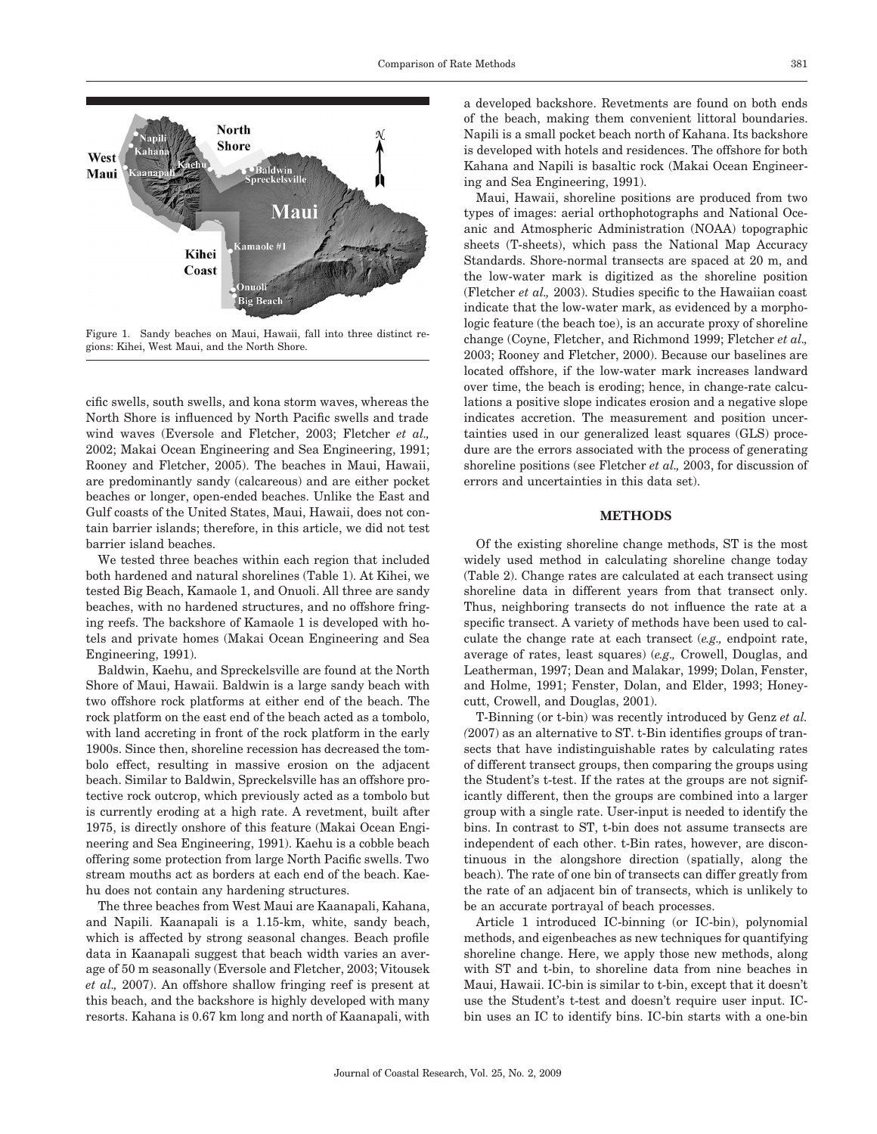

Figure 1. Sandy beaches on Maui, Hawaii, fall into three distinct regions: Kihei, West Maui, and the North Shore.

cific swells, south swells, and kona storm waves, whereas the North Shore is influenced by North Pacific swells and trade wind waves (Eversole and Fletcher, 2003; Fletcher *et al.,* 2002; Makai Ocean Engineering and Sea Engineering, 1991; Rooney and Fletcher, 2005). The beaches in Maui, Hawaii, are predominantly sandy (calcareous) and are either pocket beaches or longer, open-ended beaches. Unlike the East and Gulf coasts of the United States, Maui, Hawaii, does not contain barrier islands; therefore, in this article, we did not test barrier island beaches.

We tested three beaches within each region that included both hardened and natural shorelines (Table 1). At Kihei, we tested Big Beach, Kamaole 1, and Onuoli. All three are sandy beaches, with no hardened structures, and no offshore fringing reefs. The backshore of Kamaole 1 is developed with hotels and private homes (Makai Ocean Engineering and Sea Engineering, 1991).

Baldwin, Kaehu, and Spreckelsville are found at the North Shore of Maui, Hawaii. Baldwin is a large sandy beach with two offshore rock platforms at either end of the beach. The rock platform on the east end of the beach acted as a tombolo, with land accreting in front of the rock platform in the early 1900s. Since then, shoreline recession has decreased the tombolo effect, resulting in massive erosion on the adjacent beach. Similar to Baldwin, Spreckelsville has an offshore protective rock outcrop, which previously acted as a tombolo but is currently eroding at a high rate. A revetment, built after 1975, is directly onshore of this feature (Makai Ocean Engineering and Sea Engineering, 1991). Kaehu is a cobble beach offering some protection from large North Pacific swells. Two stream mouths act as borders at each end of the beach. Kaehu does not contain any hardening structures.

The three beaches from West Maui are Kaanapali, Kahana, and Napili. Kaanapali is a 1.15-km, white, sandy beach, which is affected by strong seasonal changes. Beach profile data in Kaanapali suggest that beach width varies an average of 50 m seasonally (Eversole and Fletcher, 2003; Vitousek *et al.,* 2007). An offshore shallow fringing reef is present at this beach, and the backshore is highly developed with many resorts. Kahana is 0.67 km long and north of Kaanapali, with

a developed backshore. Revetments are found on both ends of the beach, making them convenient littoral boundaries. Napili is a small pocket beach north of Kahana. Its backshore is developed with hotels and residences. The offshore for both Kahana and Napili is basaltic rock (Makai Ocean Engineering and Sea Engineering, 1991).

Maui, Hawaii, shoreline positions are produced from two types of images: aerial orthophotographs and National Oceanic and Atmospheric Administration (NOAA) topographic sheets (T-sheets), which pass the National Map Accuracy Standards. Shore-normal transects are spaced at 20 m, and the low-water mark is digitized as the shoreline position (Fletcher *et al.,* 2003). Studies specific to the Hawaiian coast indicate that the low-water mark, as evidenced by a morphologic feature (the beach toe), is an accurate proxy of shoreline change (Coyne, Fletcher, and Richmond 1999; Fletcher *et al.,* 2003; Rooney and Fletcher, 2000). Because our baselines are located offshore, if the low-water mark increases landward over time, the beach is eroding; hence, in change-rate calculations a positive slope indicates erosion and a negative slope indicates accretion. The measurement and position uncertainties used in our generalized least squares (GLS) procedure are the errors associated with the process of generating shoreline positions (see Fletcher *et al.,* 2003, for discussion of errors and uncertainties in this data set).

## **METHODS**

Of the existing shoreline change methods, ST is the most widely used method in calculating shoreline change today (Table 2). Change rates are calculated at each transect using shoreline data in different years from that transect only. Thus, neighboring transects do not influence the rate at a specific transect. A variety of methods have been used to calculate the change rate at each transect (*e.g.,* endpoint rate, average of rates, least squares) (*e.g.,* Crowell, Douglas, and Leatherman, 1997; Dean and Malakar, 1999; Dolan, Fenster, and Holme, 1991; Fenster, Dolan, and Elder, 1993; Honeycutt, Crowell, and Douglas, 2001).

T-Binning (or t-bin) was recently introduced by Genz *et al. (*2007) as an alternative to ST. t-Bin identifies groups of transects that have indistinguishable rates by calculating rates of different transect groups, then comparing the groups using the Student's t-test. If the rates at the groups are not significantly different, then the groups are combined into a larger group with a single rate. User-input is needed to identify the bins. In contrast to ST, t-bin does not assume transects are independent of each other. t-Bin rates, however, are discontinuous in the alongshore direction (spatially, along the beach). The rate of one bin of transects can differ greatly from the rate of an adjacent bin of transects, which is unlikely to be an accurate portrayal of beach processes.

Article 1 introduced IC-binning (or IC-bin), polynomial methods, and eigenbeaches as new techniques for quantifying shoreline change. Here, we apply those new methods, along with ST and t-bin, to shoreline data from nine beaches in Maui, Hawaii. IC-bin is similar to t-bin, except that it doesn't use the Student's t-test and doesn't require user input. ICbin uses an IC to identify bins. IC-bin starts with a one-bin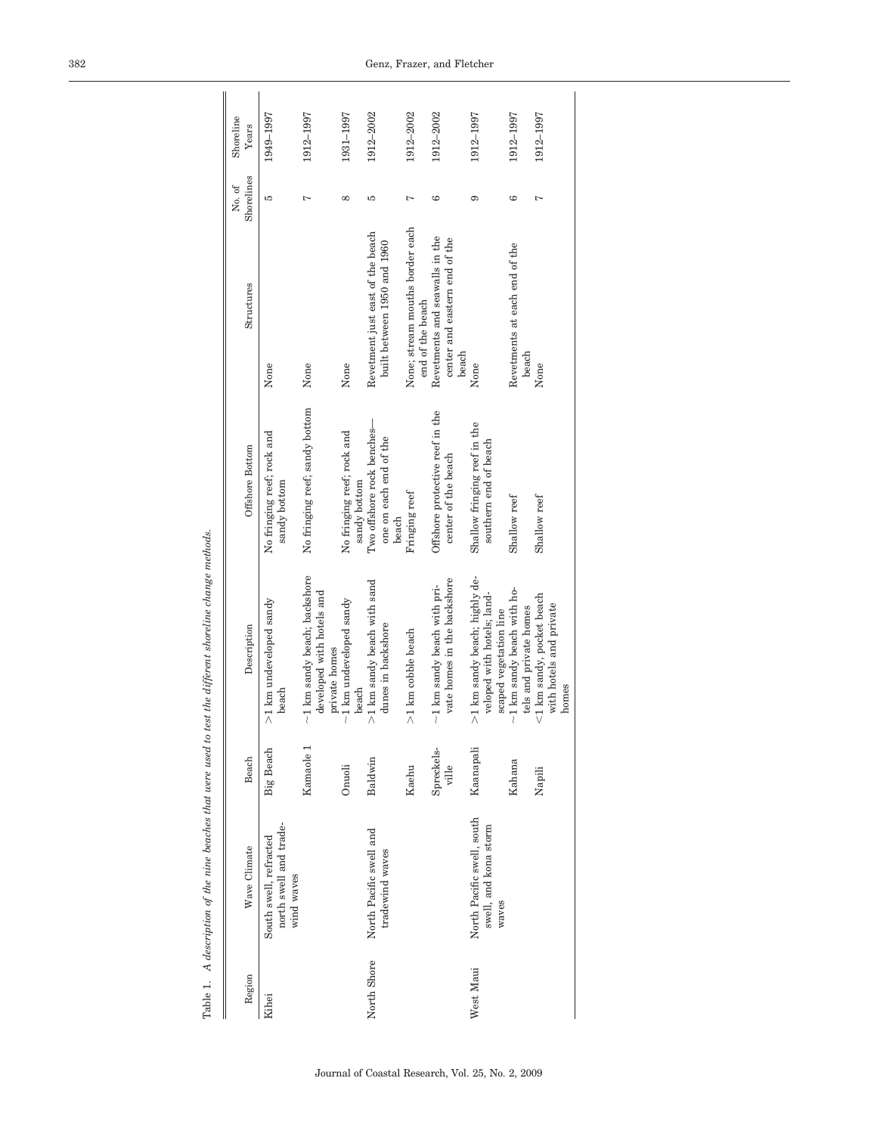|             |                                                                |                     |                                                                                       |                                                               |                                                                          | No. of     | Shoreline |
|-------------|----------------------------------------------------------------|---------------------|---------------------------------------------------------------------------------------|---------------------------------------------------------------|--------------------------------------------------------------------------|------------|-----------|
| Region      | Wave Climate                                                   | Beach               | Description                                                                           | Offshore Bottom                                               | Structures                                                               | Shorelines | Years     |
| Kihei       | north swell and trade-<br>South swell, refracted<br>wind waves | Big Beach           | >1 km undeveloped sandy<br>beach                                                      | No fringing reef; rock and<br>sandy bottom                    | None                                                                     | P          | 1949–1997 |
|             |                                                                | Kamaole 1           | $\sim$ 1 km sandy beach; backshore<br>developed with hotels and<br>private homes      | No fringing reef; sandy bottom                                | None                                                                     |            | 1912-1997 |
|             |                                                                | Onuoli              | $\sim$ 1 km undeveloped sandy<br>beach                                                | No fringing reef; rock and<br>sandy bottom                    | None                                                                     | ∞          | 1931-1997 |
| North Shore | North Pacific swell and<br>tradewind waves                     | Baldwin             | >1 km sandy beach with sand<br>dunes in backshore                                     | Two offshore rock benches-<br>one on each end of the<br>beach | Revetment just east of the beach<br>built between 1950 and 1960          | S          | 1912-2002 |
|             |                                                                | Kaehu               | >1 km cobble beach                                                                    | Fringing reef                                                 | None; stream mouths border each<br>end of the beach                      |            | 1912-2002 |
|             |                                                                | Spreckels-<br>ville | vate homes in the backshore<br>$\sim$ 1 km sandy beach with pri-                      | Offshore protective reef in the<br>center of the beach        | Revetments and seawalls in the<br>center and eastern end of the<br>beach | అ          | 1912-2002 |
| West Maui   | North Pacific swell, south<br>swell, and kona storm<br>waves   | Kaanapali           | >1 km sandy beach; highly de-<br>veloped with hotels; land-<br>scaped vegetation line | Shallow fringing reef in the<br>southern end of beach         | None                                                                     | σ.         | 1912-1997 |
|             |                                                                | Kahana              | $\sim\!1$ km sandy beach with ho-<br>tels and private homes                           | Shallow reef                                                  | Revetments at each end of the<br>beach                                   | అ          | 1912-1997 |
|             |                                                                | Napili              | <1 km sandy, pocket beach<br>with hotels and private<br>homes                         | Shallow reef                                                  | None                                                                     |            | 1912-1997 |

Table 1. A description of the nine beaches that were used to test the different shoreline change methods. Table 1. A description of the nine beaches that were used to test the different shoreline change methods.

Journal of Coastal Research, Vol. 25, No. 2, 2009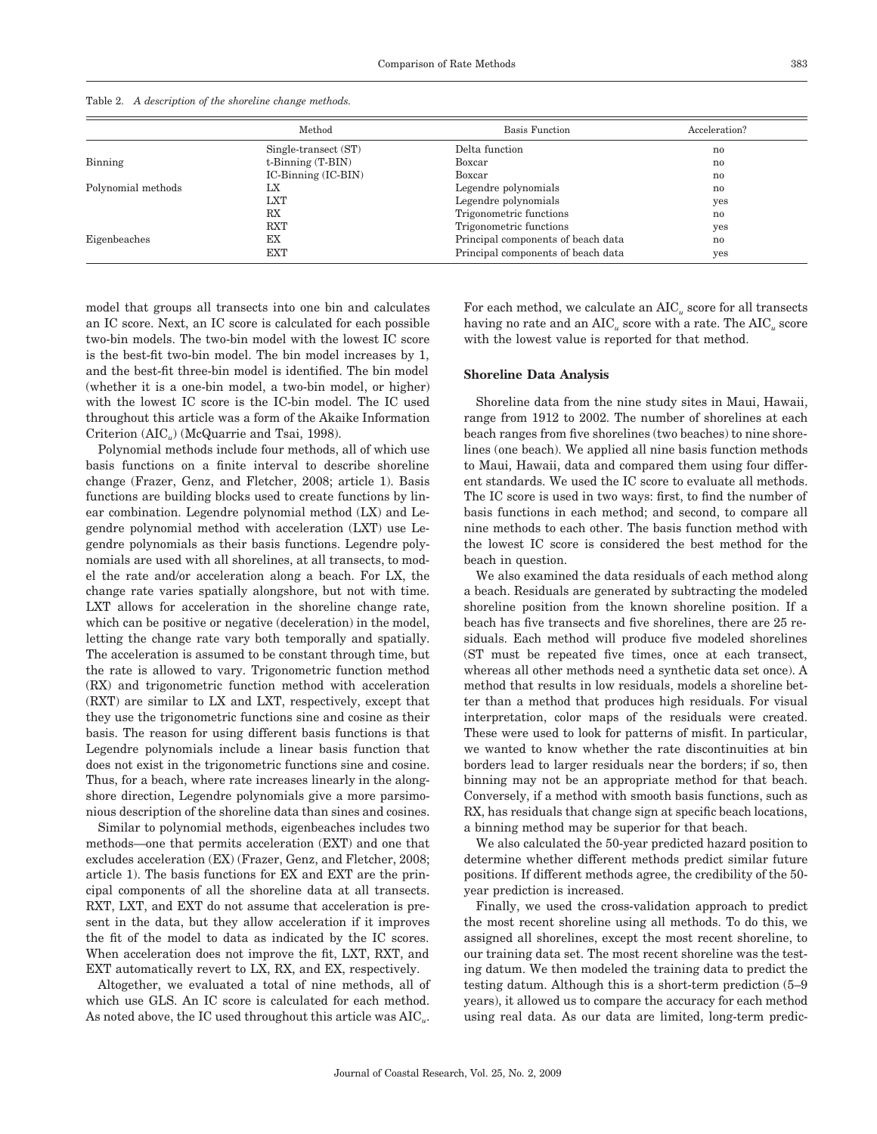| Altogether, we evaluated a total of nine methods, all of    |
|-------------------------------------------------------------|
| which use GLS. An IC score is calculated for each method.   |
| As noted above, the IC used throughout this article was AIC |

cipal components of all the shoreline data at all transects. RXT, LXT, and EXT do not assume that acceleration is present in the data, but they allow acceleration if it improves

the fit of the model to data as indicated by the IC scores. When acceleration does not improve the fit, LXT, RXT, and

change (Frazer, Genz, and Fletcher, 2008; article 1). Basis functions are building blocks used to create functions by linear combination. Legendre polynomial method (LX) and Legendre polynomial method with acceleration (LXT) use Legendre polynomials as their basis functions. Legendre polynomials are used with all shorelines, at all transects, to model the rate and/or acceleration along a beach. For LX, the change rate varies spatially alongshore, but not with time. LXT allows for acceleration in the shoreline change rate,

model that groups all transects into one bin and calculates

an IC score. Next, an IC score is calculated for each possible two-bin models. The two-bin model with the lowest IC score is the best-fit two-bin model. The bin model increases by 1, and the best-fit three-bin model is identified. The bin model (whether it is a one-bin model, a two-bin model, or higher) with the lowest IC score is the IC-bin model. The IC used throughout this article was a form of the Akaike Information Criterion (AIC<sub>u</sub>) (McQuarrie and Tsai, 1998).

Polynomial methods include four methods, all of which use basis functions on a finite interval to describe shoreline

which can be positive or negative (deceleration) in the model, letting the change rate vary both temporally and spatially. The acceleration is assumed to be constant through time, but the rate is allowed to vary. Trigonometric function method (RX) and trigonometric function method with acceleration (RXT) are similar to LX and LXT, respectively, except that they use the trigonometric functions sine and cosine as their basis. The reason for using different basis functions is that Legendre polynomials include a linear basis function that does not exist in the trigonometric functions sine and cosine. Thus, for a beach, where rate increases linearly in the alongshore direction, Legendre polynomials give a more parsimonious description of the shoreline data than sines and cosines. Similar to polynomial methods, eigenbeaches includes two methods—one that permits acceleration (EXT) and one that excludes acceleration (EX) (Frazer, Genz, and Fletcher, 2008; article 1). The basis functions for EX and EXT are the prin-

For each method, we calculate an AIC*<sup>u</sup>* score for all transects having no rate and an AIC*<sup>u</sup>* score with a rate. The AIC*<sup>u</sup>* score with the lowest value is reported for that method.

# **Shoreline Data Analysis**

Shoreline data from the nine study sites in Maui, Hawaii, range from 1912 to 2002. The number of shorelines at each beach ranges from five shorelines (two beaches) to nine shorelines (one beach). We applied all nine basis function methods to Maui, Hawaii, data and compared them using four different standards. We used the IC score to evaluate all methods. The IC score is used in two ways: first, to find the number of basis functions in each method; and second, to compare all nine methods to each other. The basis function method with the lowest IC score is considered the best method for the beach in question.

We also examined the data residuals of each method along a beach. Residuals are generated by subtracting the modeled shoreline position from the known shoreline position. If a beach has five transects and five shorelines, there are 25 residuals. Each method will produce five modeled shorelines (ST must be repeated five times, once at each transect, whereas all other methods need a synthetic data set once). A method that results in low residuals, models a shoreline better than a method that produces high residuals. For visual interpretation, color maps of the residuals were created. These were used to look for patterns of misfit. In particular, we wanted to know whether the rate discontinuities at bin borders lead to larger residuals near the borders; if so, then binning may not be an appropriate method for that beach. Conversely, if a method with smooth basis functions, such as RX, has residuals that change sign at specific beach locations, a binning method may be superior for that beach.

We also calculated the 50-year predicted hazard position to determine whether different methods predict similar future positions. If different methods agree, the credibility of the 50 year prediction is increased.

Finally, we used the cross-validation approach to predict the most recent shoreline using all methods. To do this, we assigned all shorelines, except the most recent shoreline, to our training data set. The most recent shoreline was the testing datum. We then modeled the training data to predict the testing datum. Although this is a short-term prediction (5–9 years), it allowed us to compare the accuracy for each method using real data. As our data are limited, long-term predic-

|                    | Method                | <b>Basis Function</b>              | Acceleration? |  |
|--------------------|-----------------------|------------------------------------|---------------|--|
|                    | Single-transect (ST)  | Delta function                     | no            |  |
| Binning            | t-Binning (T-BIN)     | Boxcar                             | no            |  |
|                    | $IC-Binning (IC-BIN)$ | Boxcar                             | no            |  |
| Polynomial methods | LX                    | Legendre polynomials               | no            |  |
|                    | LXT                   | Legendre polynomials               | yes           |  |
|                    | RX                    | Trigonometric functions            | no            |  |
|                    | <b>RXT</b>            | Trigonometric functions            | yes           |  |
| Eigenbeaches       | EX                    | Principal components of beach data | no            |  |
|                    | <b>EXT</b>            | Principal components of beach data | yes           |  |
|                    |                       |                                    |               |  |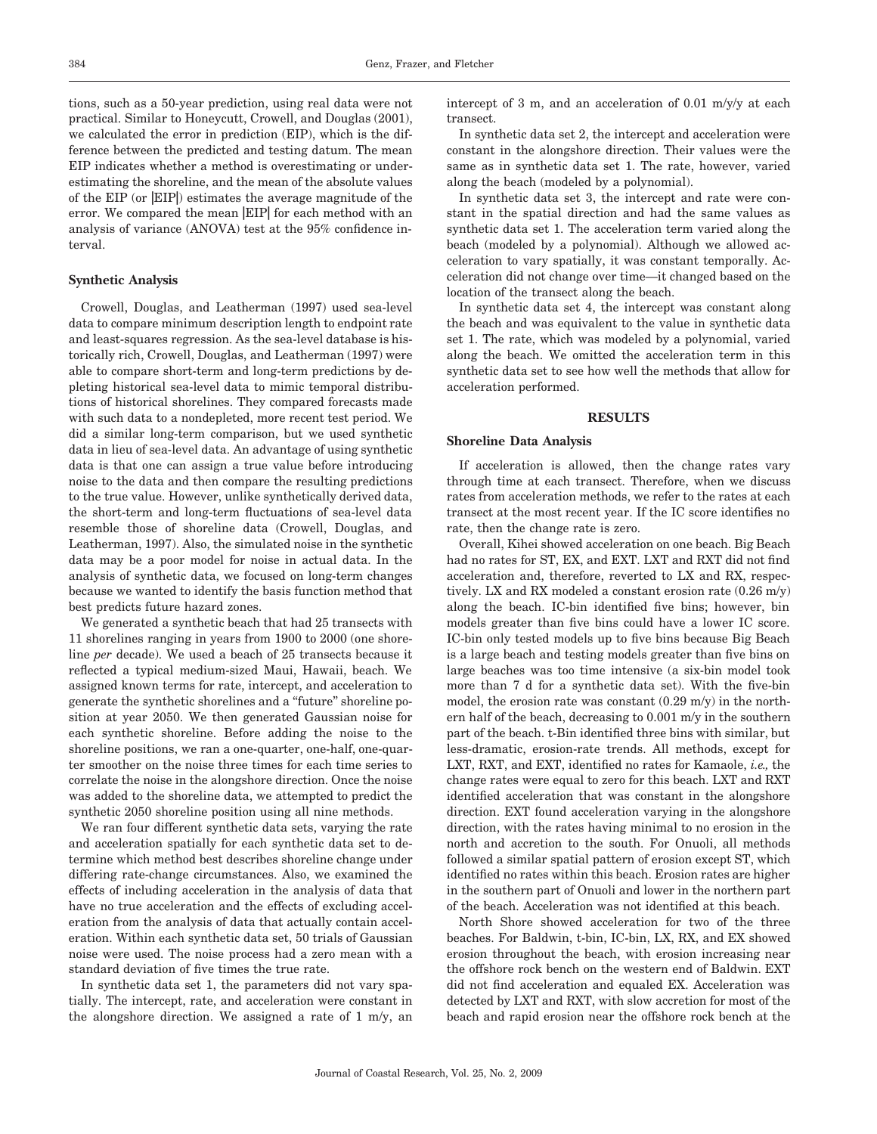tions, such as a 50-year prediction, using real data were not practical. Similar to Honeycutt, Crowell, and Douglas (2001), we calculated the error in prediction (EIP), which is the difference between the predicted and testing datum. The mean EIP indicates whether a method is overestimating or underestimating the shoreline, and the mean of the absolute values of the EIP (or  $|EIP|$ ) estimates the average magnitude of the error. We compared the mean EIP for each method with an analysis of variance (ANOVA) test at the 95% confidence interval.

## **Synthetic Analysis**

Crowell, Douglas, and Leatherman (1997) used sea-level data to compare minimum description length to endpoint rate and least-squares regression. As the sea-level database is historically rich, Crowell, Douglas, and Leatherman (1997) were able to compare short-term and long-term predictions by depleting historical sea-level data to mimic temporal distributions of historical shorelines. They compared forecasts made with such data to a nondepleted, more recent test period. We did a similar long-term comparison, but we used synthetic data in lieu of sea-level data. An advantage of using synthetic data is that one can assign a true value before introducing noise to the data and then compare the resulting predictions to the true value. However, unlike synthetically derived data, the short-term and long-term fluctuations of sea-level data resemble those of shoreline data (Crowell, Douglas, and Leatherman, 1997). Also, the simulated noise in the synthetic data may be a poor model for noise in actual data. In the analysis of synthetic data, we focused on long-term changes because we wanted to identify the basis function method that best predicts future hazard zones.

We generated a synthetic beach that had 25 transects with 11 shorelines ranging in years from 1900 to 2000 (one shoreline *per* decade). We used a beach of 25 transects because it reflected a typical medium-sized Maui, Hawaii, beach. We assigned known terms for rate, intercept, and acceleration to generate the synthetic shorelines and a ''future'' shoreline position at year 2050. We then generated Gaussian noise for each synthetic shoreline. Before adding the noise to the shoreline positions, we ran a one-quarter, one-half, one-quarter smoother on the noise three times for each time series to correlate the noise in the alongshore direction. Once the noise was added to the shoreline data, we attempted to predict the synthetic 2050 shoreline position using all nine methods.

We ran four different synthetic data sets, varying the rate and acceleration spatially for each synthetic data set to determine which method best describes shoreline change under differing rate-change circumstances. Also, we examined the effects of including acceleration in the analysis of data that have no true acceleration and the effects of excluding acceleration from the analysis of data that actually contain acceleration. Within each synthetic data set, 50 trials of Gaussian noise were used. The noise process had a zero mean with a standard deviation of five times the true rate.

In synthetic data set 1, the parameters did not vary spatially. The intercept, rate, and acceleration were constant in the alongshore direction. We assigned a rate of 1 m/y, an

intercept of 3 m, and an acceleration of 0.01 m/y/y at each transect.

In synthetic data set 2, the intercept and acceleration were constant in the alongshore direction. Their values were the same as in synthetic data set 1. The rate, however, varied along the beach (modeled by a polynomial).

In synthetic data set 3, the intercept and rate were constant in the spatial direction and had the same values as synthetic data set 1. The acceleration term varied along the beach (modeled by a polynomial). Although we allowed acceleration to vary spatially, it was constant temporally. Acceleration did not change over time—it changed based on the location of the transect along the beach.

In synthetic data set 4, the intercept was constant along the beach and was equivalent to the value in synthetic data set 1. The rate, which was modeled by a polynomial, varied along the beach. We omitted the acceleration term in this synthetic data set to see how well the methods that allow for acceleration performed.

# **RESULTS**

#### **Shoreline Data Analysis**

If acceleration is allowed, then the change rates vary through time at each transect. Therefore, when we discuss rates from acceleration methods, we refer to the rates at each transect at the most recent year. If the IC score identifies no rate, then the change rate is zero.

Overall, Kihei showed acceleration on one beach. Big Beach had no rates for ST, EX, and EXT. LXT and RXT did not find acceleration and, therefore, reverted to LX and RX, respectively. LX and RX modeled a constant erosion rate (0.26 m/y) along the beach. IC-bin identified five bins; however, bin models greater than five bins could have a lower IC score. IC-bin only tested models up to five bins because Big Beach is a large beach and testing models greater than five bins on large beaches was too time intensive (a six-bin model took more than 7 d for a synthetic data set). With the five-bin model, the erosion rate was constant  $(0.29 \text{ m/y})$  in the northern half of the beach, decreasing to 0.001 m/y in the southern part of the beach. t-Bin identified three bins with similar, but less-dramatic, erosion-rate trends. All methods, except for LXT, RXT, and EXT, identified no rates for Kamaole, *i.e.,* the change rates were equal to zero for this beach. LXT and RXT identified acceleration that was constant in the alongshore direction. EXT found acceleration varying in the alongshore direction, with the rates having minimal to no erosion in the north and accretion to the south. For Onuoli, all methods followed a similar spatial pattern of erosion except ST, which identified no rates within this beach. Erosion rates are higher in the southern part of Onuoli and lower in the northern part of the beach. Acceleration was not identified at this beach.

North Shore showed acceleration for two of the three beaches. For Baldwin, t-bin, IC-bin, LX, RX, and EX showed erosion throughout the beach, with erosion increasing near the offshore rock bench on the western end of Baldwin. EXT did not find acceleration and equaled EX. Acceleration was detected by LXT and RXT, with slow accretion for most of the beach and rapid erosion near the offshore rock bench at the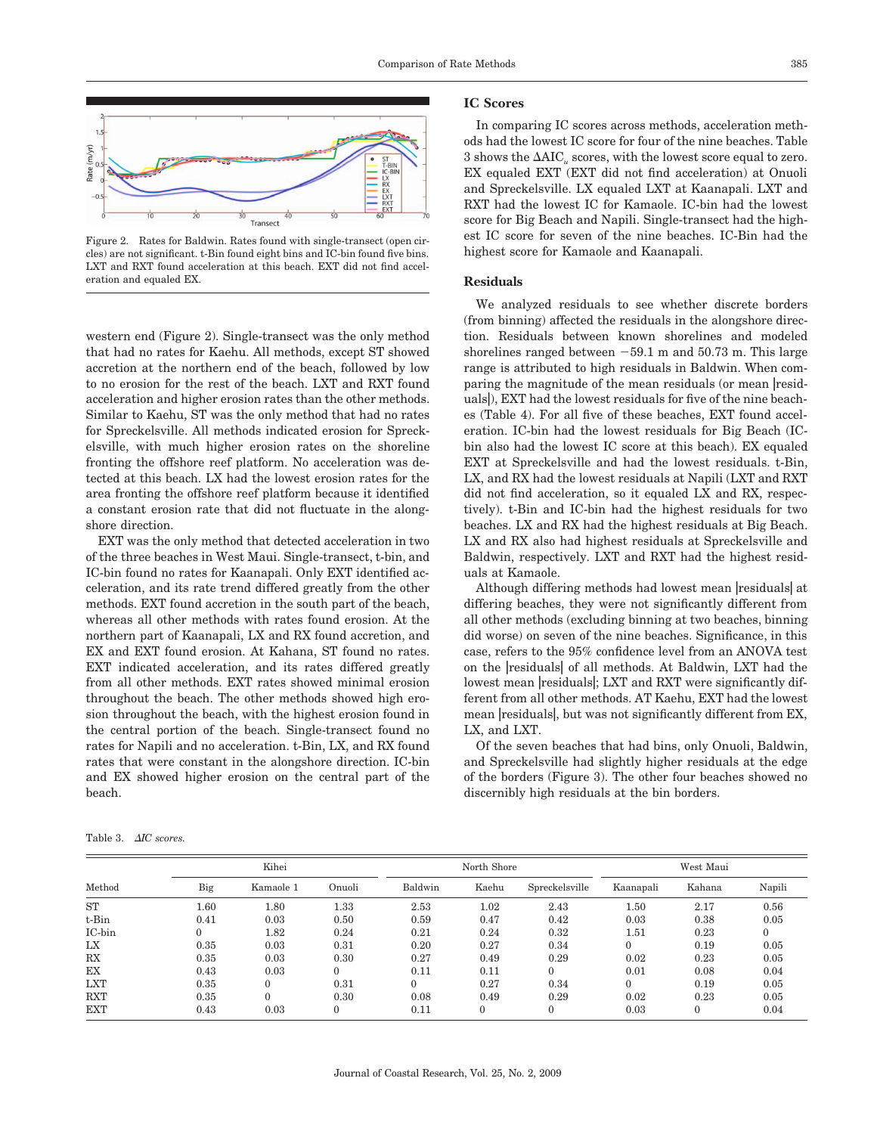

Figure 2. Rates for Baldwin. Rates found with single-transect (open circles) are not significant. t-Bin found eight bins and IC-bin found five bins. LXT and RXT found acceleration at this beach. EXT did not find acceleration and equaled EX.

western end (Figure 2). Single-transect was the only method that had no rates for Kaehu. All methods, except ST showed accretion at the northern end of the beach, followed by low to no erosion for the rest of the beach. LXT and RXT found acceleration and higher erosion rates than the other methods. Similar to Kaehu, ST was the only method that had no rates for Spreckelsville. All methods indicated erosion for Spreckelsville, with much higher erosion rates on the shoreline fronting the offshore reef platform. No acceleration was detected at this beach. LX had the lowest erosion rates for the area fronting the offshore reef platform because it identified a constant erosion rate that did not fluctuate in the alongshore direction.

EXT was the only method that detected acceleration in two of the three beaches in West Maui. Single-transect, t-bin, and IC-bin found no rates for Kaanapali. Only EXT identified acceleration, and its rate trend differed greatly from the other methods. EXT found accretion in the south part of the beach, whereas all other methods with rates found erosion. At the northern part of Kaanapali, LX and RX found accretion, and EX and EXT found erosion. At Kahana, ST found no rates. EXT indicated acceleration, and its rates differed greatly from all other methods. EXT rates showed minimal erosion throughout the beach. The other methods showed high erosion throughout the beach, with the highest erosion found in the central portion of the beach. Single-transect found no rates for Napili and no acceleration. t-Bin, LX, and RX found rates that were constant in the alongshore direction. IC-bin and EX showed higher erosion on the central part of the beach.

#### **IC Scores**

In comparing IC scores across methods, acceleration methods had the lowest IC score for four of the nine beaches. Table  $3$  shows the  $\Delta AIC_{u}$  scores, with the lowest score equal to zero. EX equaled EXT (EXT did not find acceleration) at Onuoli and Spreckelsville. LX equaled LXT at Kaanapali. LXT and RXT had the lowest IC for Kamaole. IC-bin had the lowest score for Big Beach and Napili. Single-transect had the highest IC score for seven of the nine beaches. IC-Bin had the highest score for Kamaole and Kaanapali.

#### **Residuals**

We analyzed residuals to see whether discrete borders (from binning) affected the residuals in the alongshore direction. Residuals between known shorelines and modeled shorelines ranged between  $-59.1$  m and  $50.73$  m. This large range is attributed to high residuals in Baldwin. When comparing the magnitude of the mean residuals (or mean residuals), EXT had the lowest residuals for five of the nine beaches (Table 4). For all five of these beaches, EXT found acceleration. IC-bin had the lowest residuals for Big Beach (ICbin also had the lowest IC score at this beach). EX equaled EXT at Spreckelsville and had the lowest residuals. t-Bin, LX, and RX had the lowest residuals at Napili (LXT and RXT did not find acceleration, so it equaled LX and RX, respectively). t-Bin and IC-bin had the highest residuals for two beaches. LX and RX had the highest residuals at Big Beach. LX and RX also had highest residuals at Spreckelsville and Baldwin, respectively. LXT and RXT had the highest residuals at Kamaole.

Although differing methods had lowest mean residuals at differing beaches, they were not significantly different from all other methods (excluding binning at two beaches, binning did worse) on seven of the nine beaches. Significance, in this case, refers to the 95% confidence level from an ANOVA test on the residuals of all methods. At Baldwin, LXT had the lowest mean |residuals|; LXT and RXT were significantly different from all other methods. AT Kaehu, EXT had the lowest mean |residuals|, but was not significantly different from EX, LX, and LXT.

Of the seven beaches that had bins, only Onuoli, Baldwin, and Spreckelsville had slightly higher residuals at the edge of the borders (Figure 3). The other four beaches showed no discernibly high residuals at the bin borders.

| Table 3. |  |  | $\Delta IC$ scores. |
|----------|--|--|---------------------|
|----------|--|--|---------------------|

|            |      | Kihei     |          |          | North Shore |                |           | West Maui |        |
|------------|------|-----------|----------|----------|-------------|----------------|-----------|-----------|--------|
| Method     | Big  | Kamaole 1 | Onuoli   | Baldwin  | Kaehu       | Spreckelsville | Kaanapali | Kahana    | Napili |
| ST         | 1.60 | 1.80      | 1.33     | 2.53     | 1.02        | 2.43           | $1.50\,$  | 2.17      | 0.56   |
| t-Bin      | 0.41 | 0.03      | 0.50     | 0.59     | 0.47        | 0.42           | 0.03      | 0.38      | 0.05   |
| IC-bin     | 0    | 1.82      | 0.24     | 0.21     | 0.24        | 0.32           | 1.51      | 0.23      |        |
| LX         | 0.35 | 0.03      | 0.31     | 0.20     | 0.27        | 0.34           | $\Omega$  | 0.19      | 0.05   |
| RX         | 0.35 | 0.03      | 0.30     | 0.27     | 0.49        | 0.29           | 0.02      | 0.23      | 0.05   |
| ЕX         | 0.43 | 0.03      | 0        | 0.11     | 0.11        | $\Omega$       | 0.01      | 0.08      | 0.04   |
| LXT        | 0.35 | $\Omega$  | 0.31     | $\Omega$ | 0.27        | 0.34           | $\Omega$  | 0.19      | 0.05   |
| <b>RXT</b> | 0.35 | $\Omega$  | 0.30     | 0.08     | 0.49        | 0.29           | 0.02      | 0.23      | 0.05   |
| <b>EXT</b> | 0.43 | 0.03      | $\Omega$ | 0.11     | $\Omega$    | $\mathbf{0}$   | 0.03      | $\Omega$  | 0.04   |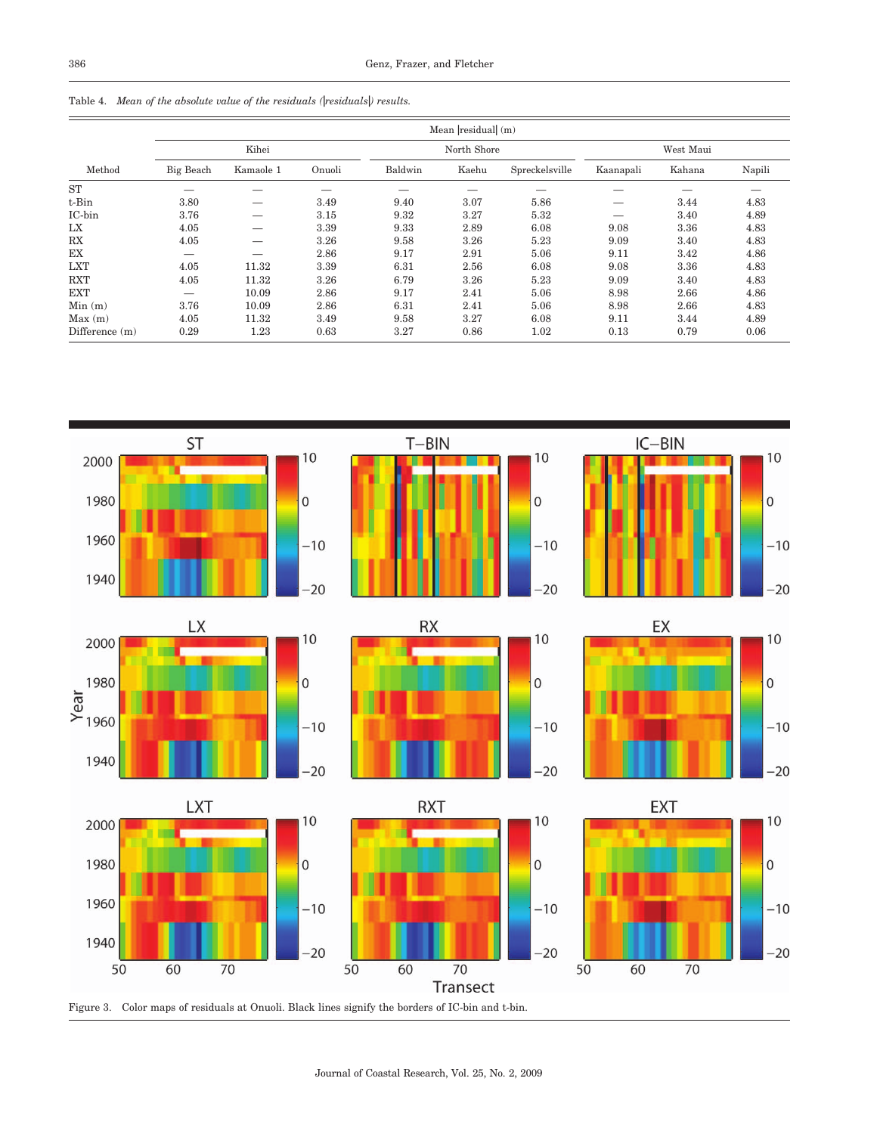|  |  |  | Table 4. Mean of the absolute value of the residuals ( residuals ) results. |  |  |  |
|--|--|--|-----------------------------------------------------------------------------|--|--|--|
|--|--|--|-----------------------------------------------------------------------------|--|--|--|

|                             |           |           |        |         | Mean $ residual $ (m) |                |           |           |        |
|-----------------------------|-----------|-----------|--------|---------|-----------------------|----------------|-----------|-----------|--------|
|                             |           | Kihei     |        |         | North Shore           |                |           | West Maui |        |
| Method                      | Big Beach | Kamaole 1 | Onuoli | Baldwin | Kaehu                 | Spreckelsville | Kaanapali | Kahana    | Napili |
| ST                          |           |           |        |         |                       |                |           |           |        |
| t-Bin                       | 3.80      | –         | 3.49   | 9.40    | 3.07                  | 5.86           |           | 3.44      | 4.83   |
| IC-bin                      | 3.76      |           | 3.15   | 9.32    | 3.27                  | 5.32           |           | 3.40      | 4.89   |
| LX                          | 4.05      |           | 3.39   | 9.33    | 2.89                  | 6.08           | 9.08      | 3.36      | 4.83   |
| RX                          | 4.05      |           | 3.26   | 9.58    | 3.26                  | 5.23           | 9.09      | 3.40      | 4.83   |
| EX                          | –         |           | 2.86   | 9.17    | 2.91                  | 5.06           | 9.11      | 3.42      | 4.86   |
| LXT                         | 4.05      | 11.32     | 3.39   | 6.31    | 2.56                  | 6.08           | 9.08      | 3.36      | 4.83   |
| $\mathop{\rm RXT}\nolimits$ | 4.05      | 11.32     | 3.26   | 6.79    | 3.26                  | 5.23           | 9.09      | 3.40      | 4.83   |
| EXT                         | __        | 10.09     | 2.86   | 9.17    | 2.41                  | 5.06           | 8.98      | 2.66      | 4.86   |
| Min(m)                      | 3.76      | 10.09     | 2.86   | 6.31    | 2.41                  | 5.06           | 8.98      | 2.66      | 4.83   |
| Max(m)                      | 4.05      | 11.32     | 3.49   | 9.58    | 3.27                  | 6.08           | 9.11      | 3.44      | 4.89   |
| Difference (m)              | 0.29      | 1.23      | 0.63   | 3.27    | 0.86                  | 1.02           | 0.13      | 0.79      | 0.06   |

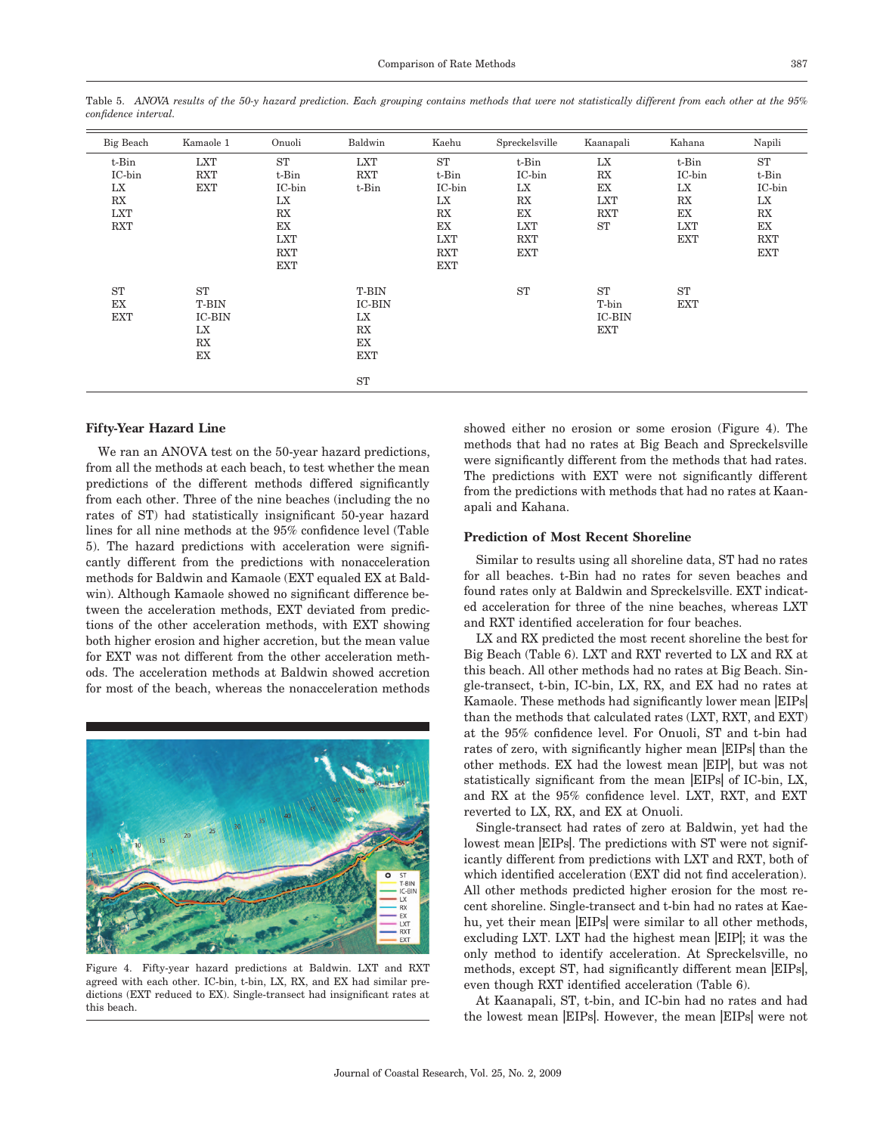| Big Beach                                                  | Kamaole 1                               | Onuoli                                                                                   | Baldwin                                                      | Kaehu                                                                                    | Spreckelsville                                                              | Kaanapali                                               | Kahana                                                        | Napili                                                                     |
|------------------------------------------------------------|-----------------------------------------|------------------------------------------------------------------------------------------|--------------------------------------------------------------|------------------------------------------------------------------------------------------|-----------------------------------------------------------------------------|---------------------------------------------------------|---------------------------------------------------------------|----------------------------------------------------------------------------|
| $t$ -Bin<br>IC-bin<br>LX<br>RX<br><b>LXT</b><br><b>RXT</b> | <b>LXT</b><br><b>RXT</b><br><b>EXT</b>  | <b>ST</b><br>t-Bin<br>IC-bin<br>LX<br>RX<br>EX<br><b>LXT</b><br><b>RXT</b><br><b>EXT</b> | <b>LXT</b><br><b>RXT</b><br>t-Bin                            | <b>ST</b><br>t-Bin<br>IC-bin<br>LX<br>RX<br>EX<br><b>LXT</b><br><b>RXT</b><br><b>EXT</b> | t-Bin<br>IC-bin<br>LX<br>RX<br>EX<br><b>LXT</b><br><b>RXT</b><br><b>EXT</b> | LX<br>RX<br>EX<br><b>LXT</b><br><b>RXT</b><br><b>ST</b> | t-Bin<br>IC-bin<br>LX<br>RX<br>EX<br><b>LXT</b><br><b>EXT</b> | <b>ST</b><br>t-Bin<br>IC-bin<br>LX<br>RX<br>EX<br><b>RXT</b><br><b>EXT</b> |
| <b>ST</b><br>EX<br><b>EXT</b>                              | ST<br>T-BIN<br>IC-BIN<br>LX<br>RX<br>EX |                                                                                          | T-BIN<br>IC-BIN<br>LX<br>RX<br>EX<br><b>EXT</b><br><b>ST</b> |                                                                                          | <b>ST</b>                                                                   | <b>ST</b><br>T-bin<br>IC-BIN<br><b>EXT</b>              | <b>ST</b><br><b>EXT</b>                                       |                                                                            |

Table 5. *ANOVA results of the 50-y hazard prediction. Each grouping contains methods that were not statistically different from each other at the 95% confidence interval.*

#### **Fifty-Year Hazard Line**

We ran an ANOVA test on the 50-year hazard predictions, from all the methods at each beach, to test whether the mean predictions of the different methods differed significantly from each other. Three of the nine beaches (including the no rates of ST) had statistically insignificant 50-year hazard lines for all nine methods at the 95% confidence level (Table 5). The hazard predictions with acceleration were significantly different from the predictions with nonacceleration methods for Baldwin and Kamaole (EXT equaled EX at Baldwin). Although Kamaole showed no significant difference between the acceleration methods, EXT deviated from predictions of the other acceleration methods, with EXT showing both higher erosion and higher accretion, but the mean value for EXT was not different from the other acceleration methods. The acceleration methods at Baldwin showed accretion for most of the beach, whereas the nonacceleration methods



Figure 4. Fifty-year hazard predictions at Baldwin. LXT and RXT agreed with each other. IC-bin, t-bin, LX, RX, and EX had similar predictions (EXT reduced to EX). Single-transect had insignificant rates at this beach.

showed either no erosion or some erosion (Figure 4). The methods that had no rates at Big Beach and Spreckelsville were significantly different from the methods that had rates. The predictions with EXT were not significantly different from the predictions with methods that had no rates at Kaanapali and Kahana.

## **Prediction of Most Recent Shoreline**

Similar to results using all shoreline data, ST had no rates for all beaches. t-Bin had no rates for seven beaches and found rates only at Baldwin and Spreckelsville. EXT indicated acceleration for three of the nine beaches, whereas LXT and RXT identified acceleration for four beaches.

LX and RX predicted the most recent shoreline the best for Big Beach (Table 6). LXT and RXT reverted to LX and RX at this beach. All other methods had no rates at Big Beach. Single-transect, t-bin, IC-bin, LX, RX, and EX had no rates at Kamaole. These methods had significantly lower mean EIPs than the methods that calculated rates (LXT, RXT, and EXT) at the 95% confidence level. For Onuoli, ST and t-bin had rates of zero, with significantly higher mean |EIPs| than the other methods. EX had the lowest mean EIP, but was not statistically significant from the mean EIPs of IC-bin, LX, and RX at the 95% confidence level. LXT, RXT, and EXT reverted to LX, RX, and EX at Onuoli.

Single-transect had rates of zero at Baldwin, yet had the lowest mean EIPs. The predictions with ST were not significantly different from predictions with LXT and RXT, both of which identified acceleration (EXT did not find acceleration). All other methods predicted higher erosion for the most recent shoreline. Single-transect and t-bin had no rates at Kaehu, yet their mean EIPs were similar to all other methods, excluding LXT. LXT had the highest mean  $|EIP|$ ; it was the only method to identify acceleration. At Spreckelsville, no methods, except ST, had significantly different mean EIPs, even though RXT identified acceleration (Table 6).

At Kaanapali, ST, t-bin, and IC-bin had no rates and had the lowest mean EIPs. However, the mean EIPs were not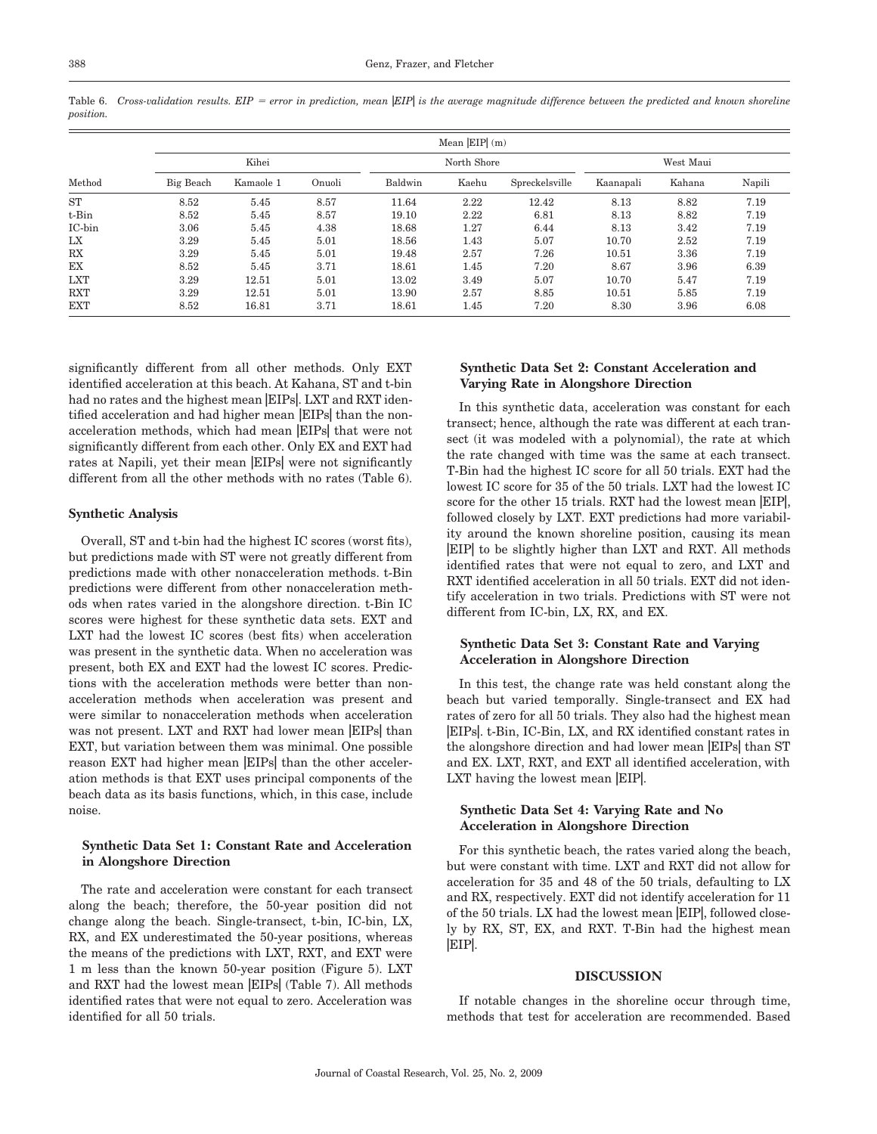|            |           |           |        |         | Mean $\vert EIP \vert$ (m) |                |           |           |        |
|------------|-----------|-----------|--------|---------|----------------------------|----------------|-----------|-----------|--------|
|            |           | Kihei     |        |         | North Shore                |                |           | West Maui |        |
| Method     | Big Beach | Kamaole 1 | Onuoli | Baldwin | Kaehu                      | Spreckelsville | Kaanapali | Kahana    | Napili |
| ST         | 8.52      | 5.45      | 8.57   | 11.64   | 2.22                       | 12.42          | 8.13      | 8.82      | 7.19   |
| t-Bin      | 8.52      | 5.45      | 8.57   | 19.10   | 2.22                       | 6.81           | 8.13      | 8.82      | 7.19   |
| IC-bin     | 3.06      | 5.45      | 4.38   | 18.68   | 1.27                       | 6.44           | 8.13      | 3.42      | 7.19   |
| LX         | 3.29      | 5.45      | 5.01   | 18.56   | 1.43                       | 5.07           | 10.70     | 2.52      | 7.19   |
| RX         | 3.29      | 5.45      | 5.01   | 19.48   | 2.57                       | 7.26           | 10.51     | 3.36      | 7.19   |
| EX         | 8.52      | 5.45      | 3.71   | 18.61   | 1.45                       | 7.20           | 8.67      | 3.96      | 6.39   |
| <b>LXT</b> | 3.29      | 12.51     | 5.01   | 13.02   | 3.49                       | 5.07           | 10.70     | 5.47      | 7.19   |
| <b>RXT</b> | 3.29      | 12.51     | 5.01   | 13.90   | 2.57                       | 8.85           | 10.51     | 5.85      | 7.19   |
| <b>EXT</b> | 8.52      | 16.81     | 3.71   | 18.61   | 1.45                       | 7.20           | 8.30      | 3.96      | 6.08   |

Table 6. Cross-validation results. EIP = error in prediction, mean |EIP| is the average magnitude difference between the predicted and known shoreline *position.*

significantly different from all other methods. Only EXT identified acceleration at this beach. At Kahana, ST and t-bin had no rates and the highest mean |EIPs|. LXT and RXT identified acceleration and had higher mean EIPs than the nonacceleration methods, which had mean EIPs that were not significantly different from each other. Only EX and EXT had rates at Napili, yet their mean EIPs were not significantly different from all the other methods with no rates (Table 6).

#### **Synthetic Analysis**

Overall, ST and t-bin had the highest IC scores (worst fits), but predictions made with ST were not greatly different from predictions made with other nonacceleration methods. t-Bin predictions were different from other nonacceleration methods when rates varied in the alongshore direction. t-Bin IC scores were highest for these synthetic data sets. EXT and LXT had the lowest IC scores (best fits) when acceleration was present in the synthetic data. When no acceleration was present, both EX and EXT had the lowest IC scores. Predictions with the acceleration methods were better than nonacceleration methods when acceleration was present and were similar to nonacceleration methods when acceleration was not present. LXT and RXT had lower mean EIPs| than EXT, but variation between them was minimal. One possible reason EXT had higher mean EIPs than the other acceleration methods is that EXT uses principal components of the beach data as its basis functions, which, in this case, include noise.

## **Synthetic Data Set 1: Constant Rate and Acceleration in Alongshore Direction**

The rate and acceleration were constant for each transect along the beach; therefore, the 50-year position did not change along the beach. Single-transect, t-bin, IC-bin, LX, RX, and EX underestimated the 50-year positions, whereas the means of the predictions with LXT, RXT, and EXT were 1 m less than the known 50-year position (Figure 5). LXT and RXT had the lowest mean EIPs (Table 7). All methods identified rates that were not equal to zero. Acceleration was identified for all 50 trials.

# **Synthetic Data Set 2: Constant Acceleration and Varying Rate in Alongshore Direction**

In this synthetic data, acceleration was constant for each transect; hence, although the rate was different at each transect (it was modeled with a polynomial), the rate at which the rate changed with time was the same at each transect. T-Bin had the highest IC score for all 50 trials. EXT had the lowest IC score for 35 of the 50 trials. LXT had the lowest IC score for the other 15 trials. RXT had the lowest mean EIP, followed closely by LXT. EXT predictions had more variability around the known shoreline position, causing its mean EIP to be slightly higher than LXT and RXT. All methods identified rates that were not equal to zero, and LXT and RXT identified acceleration in all 50 trials. EXT did not identify acceleration in two trials. Predictions with ST were not different from IC-bin, LX, RX, and EX.

# **Synthetic Data Set 3: Constant Rate and Varying Acceleration in Alongshore Direction**

In this test, the change rate was held constant along the beach but varied temporally. Single-transect and EX had rates of zero for all 50 trials. They also had the highest mean EIPs. t-Bin, IC-Bin, LX, and RX identified constant rates in the alongshore direction and had lower mean EIPs| than ST and EX. LXT, RXT, and EXT all identified acceleration, with LXT having the lowest mean  $|EIP|$ .

# **Synthetic Data Set 4: Varying Rate and No Acceleration in Alongshore Direction**

For this synthetic beach, the rates varied along the beach, but were constant with time. LXT and RXT did not allow for acceleration for 35 and 48 of the 50 trials, defaulting to LX and RX, respectively. EXT did not identify acceleration for 11 of the 50 trials. LX had the lowest mean EIP, followed closely by RX, ST, EX, and RXT. T-Bin had the highest mean |EIP|.

# **DISCUSSION**

If notable changes in the shoreline occur through time, methods that test for acceleration are recommended. Based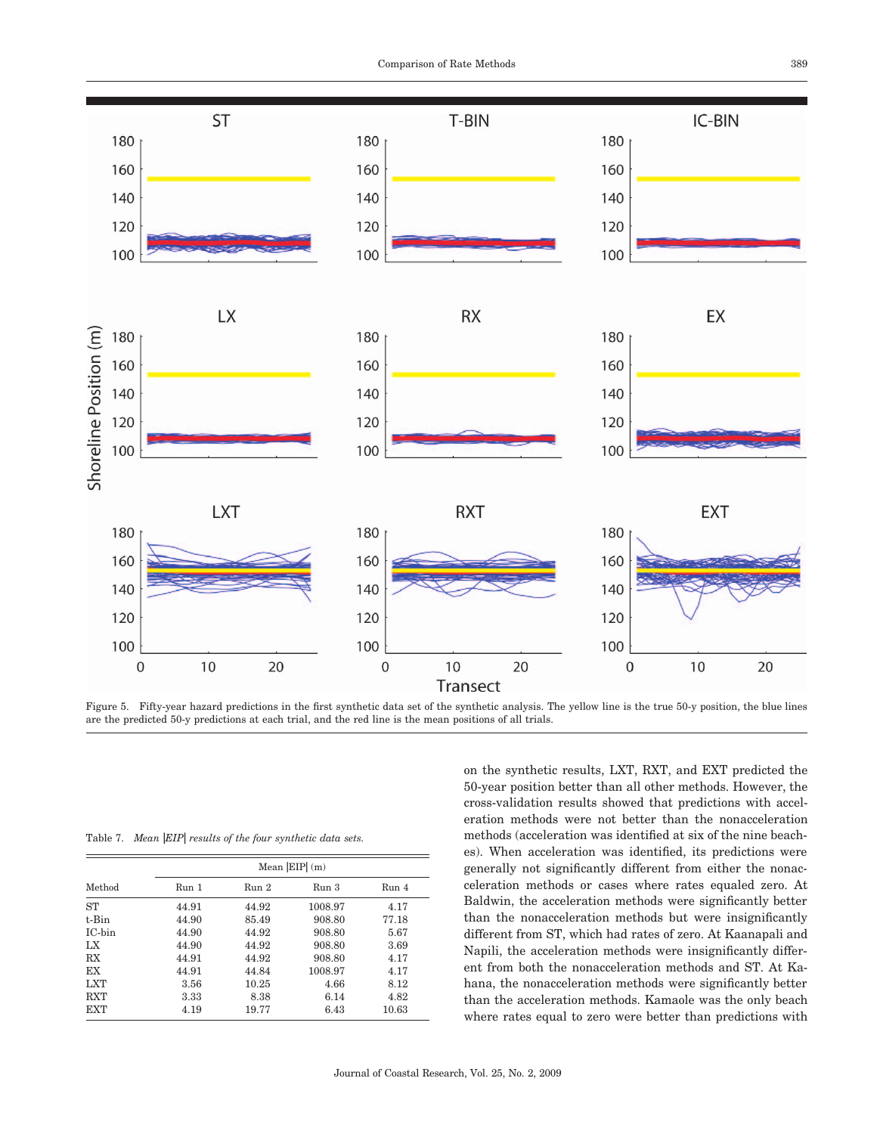

Figure 5. Fifty-year hazard predictions in the first synthetic data set of the synthetic analysis. The yellow line is the true 50-y position, the blue lines are the predicted 50-y predictions at each trial, and the red line is the mean positions of all trials.

Table 7. Mean *EIP* results of the four synthetic data sets.

|            |       |       | Mean $ EIP $ (m) |       |
|------------|-------|-------|------------------|-------|
| Method     | Run 1 | Run 2 | Run 3            | Run 4 |
| <b>ST</b>  | 44.91 | 44.92 | 1008.97          | 4.17  |
| t-Bin      | 44.90 | 85.49 | 908.80           | 77.18 |
| IC-bin     | 44.90 | 44.92 | 908.80           | 5.67  |
| LX         | 44.90 | 44.92 | 908.80           | 3.69  |
| RX         | 44.91 | 44.92 | 908.80           | 4.17  |
| EX         | 44.91 | 44.84 | 1008.97          | 4.17  |
| <b>LXT</b> | 3.56  | 10.25 | 4.66             | 8.12  |
| <b>RXT</b> | 3.33  | 8.38  | 6.14             | 4.82  |
| <b>EXT</b> | 4.19  | 19.77 | 6.43             | 10.63 |

on the synthetic results, LXT, RXT, and EXT predicted the 50-year position better than all other methods. However, the cross-validation results showed that predictions with acceleration methods were not better than the nonacceleration methods (acceleration was identified at six of the nine beaches). When acceleration was identified, its predictions were generally not significantly different from either the nonacceleration methods or cases where rates equaled zero. At Baldwin, the acceleration methods were significantly better than the nonacceleration methods but were insignificantly different from ST, which had rates of zero. At Kaanapali and Napili, the acceleration methods were insignificantly different from both the nonacceleration methods and ST. At Kahana, the nonacceleration methods were significantly better than the acceleration methods. Kamaole was the only beach where rates equal to zero were better than predictions with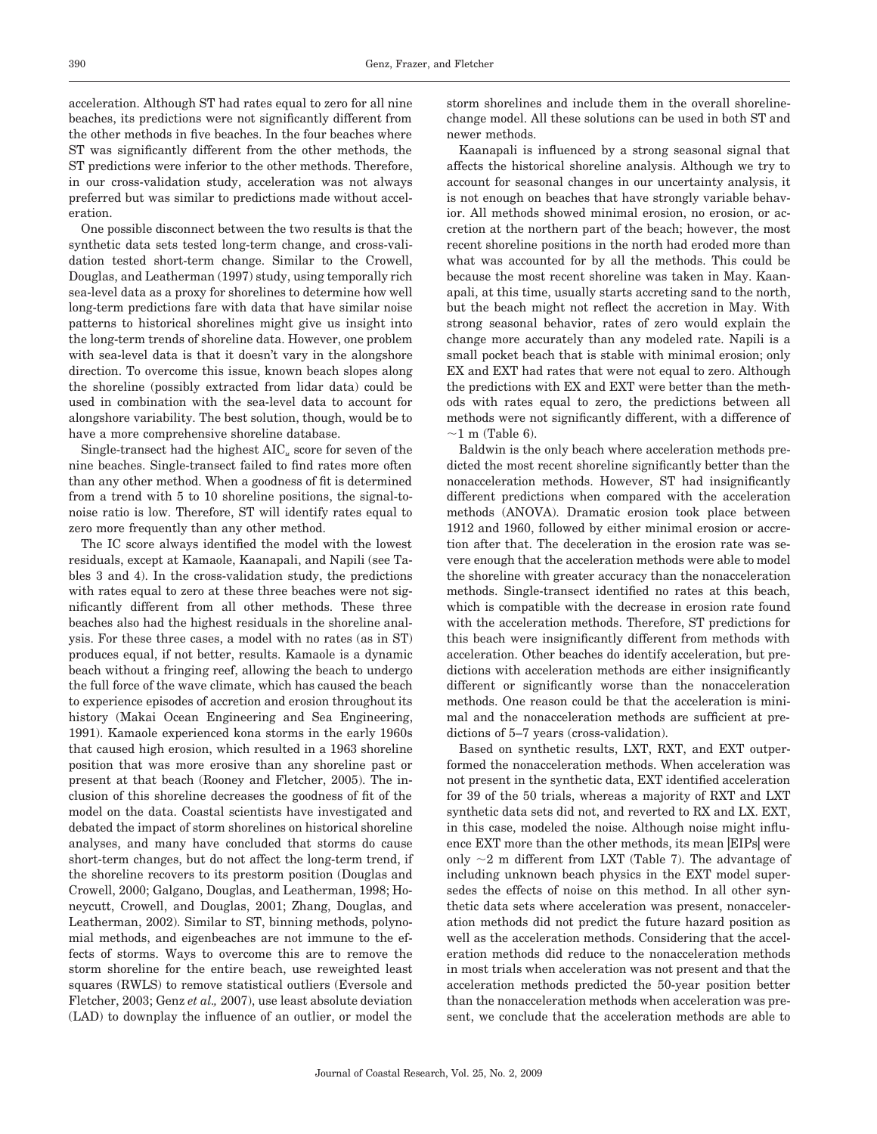acceleration. Although ST had rates equal to zero for all nine beaches, its predictions were not significantly different from the other methods in five beaches. In the four beaches where ST was significantly different from the other methods, the ST predictions were inferior to the other methods. Therefore, in our cross-validation study, acceleration was not always preferred but was similar to predictions made without acceleration.

One possible disconnect between the two results is that the synthetic data sets tested long-term change, and cross-validation tested short-term change. Similar to the Crowell, Douglas, and Leatherman (1997) study, using temporally rich sea-level data as a proxy for shorelines to determine how well long-term predictions fare with data that have similar noise patterns to historical shorelines might give us insight into the long-term trends of shoreline data. However, one problem with sea-level data is that it doesn't vary in the alongshore direction. To overcome this issue, known beach slopes along the shoreline (possibly extracted from lidar data) could be used in combination with the sea-level data to account for alongshore variability. The best solution, though, would be to have a more comprehensive shoreline database.

Single-transect had the highest AIC<sub>u</sub> score for seven of the nine beaches. Single-transect failed to find rates more often than any other method. When a goodness of fit is determined from a trend with 5 to 10 shoreline positions, the signal-tonoise ratio is low. Therefore, ST will identify rates equal to zero more frequently than any other method.

The IC score always identified the model with the lowest residuals, except at Kamaole, Kaanapali, and Napili (see Tables 3 and 4). In the cross-validation study, the predictions with rates equal to zero at these three beaches were not significantly different from all other methods. These three beaches also had the highest residuals in the shoreline analysis. For these three cases, a model with no rates (as in ST) produces equal, if not better, results. Kamaole is a dynamic beach without a fringing reef, allowing the beach to undergo the full force of the wave climate, which has caused the beach to experience episodes of accretion and erosion throughout its history (Makai Ocean Engineering and Sea Engineering, 1991). Kamaole experienced kona storms in the early 1960s that caused high erosion, which resulted in a 1963 shoreline position that was more erosive than any shoreline past or present at that beach (Rooney and Fletcher, 2005). The inclusion of this shoreline decreases the goodness of fit of the model on the data. Coastal scientists have investigated and debated the impact of storm shorelines on historical shoreline analyses, and many have concluded that storms do cause short-term changes, but do not affect the long-term trend, if the shoreline recovers to its prestorm position (Douglas and Crowell, 2000; Galgano, Douglas, and Leatherman, 1998; Honeycutt, Crowell, and Douglas, 2001; Zhang, Douglas, and Leatherman, 2002). Similar to ST, binning methods, polynomial methods, and eigenbeaches are not immune to the effects of storms. Ways to overcome this are to remove the storm shoreline for the entire beach, use reweighted least squares (RWLS) to remove statistical outliers (Eversole and Fletcher, 2003; Genz *et al.,* 2007), use least absolute deviation (LAD) to downplay the influence of an outlier, or model the

storm shorelines and include them in the overall shorelinechange model. All these solutions can be used in both ST and newer methods.

Kaanapali is influenced by a strong seasonal signal that affects the historical shoreline analysis. Although we try to account for seasonal changes in our uncertainty analysis, it is not enough on beaches that have strongly variable behavior. All methods showed minimal erosion, no erosion, or accretion at the northern part of the beach; however, the most recent shoreline positions in the north had eroded more than what was accounted for by all the methods. This could be because the most recent shoreline was taken in May. Kaanapali, at this time, usually starts accreting sand to the north, but the beach might not reflect the accretion in May. With strong seasonal behavior, rates of zero would explain the change more accurately than any modeled rate. Napili is a small pocket beach that is stable with minimal erosion; only EX and EXT had rates that were not equal to zero. Although the predictions with EX and EXT were better than the methods with rates equal to zero, the predictions between all methods were not significantly different, with a difference of  $\sim$ 1 m (Table 6).

Baldwin is the only beach where acceleration methods predicted the most recent shoreline significantly better than the nonacceleration methods. However, ST had insignificantly different predictions when compared with the acceleration methods (ANOVA). Dramatic erosion took place between 1912 and 1960, followed by either minimal erosion or accretion after that. The deceleration in the erosion rate was severe enough that the acceleration methods were able to model the shoreline with greater accuracy than the nonacceleration methods. Single-transect identified no rates at this beach, which is compatible with the decrease in erosion rate found with the acceleration methods. Therefore, ST predictions for this beach were insignificantly different from methods with acceleration. Other beaches do identify acceleration, but predictions with acceleration methods are either insignificantly different or significantly worse than the nonacceleration methods. One reason could be that the acceleration is minimal and the nonacceleration methods are sufficient at predictions of 5–7 years (cross-validation).

Based on synthetic results, LXT, RXT, and EXT outperformed the nonacceleration methods. When acceleration was not present in the synthetic data, EXT identified acceleration for 39 of the 50 trials, whereas a majority of RXT and LXT synthetic data sets did not, and reverted to RX and LX. EXT, in this case, modeled the noise. Although noise might influence EXT more than the other methods, its mean EIPs were only  $\sim$ 2 m different from LXT (Table 7). The advantage of including unknown beach physics in the EXT model supersedes the effects of noise on this method. In all other synthetic data sets where acceleration was present, nonacceleration methods did not predict the future hazard position as well as the acceleration methods. Considering that the acceleration methods did reduce to the nonacceleration methods in most trials when acceleration was not present and that the acceleration methods predicted the 50-year position better than the nonacceleration methods when acceleration was present, we conclude that the acceleration methods are able to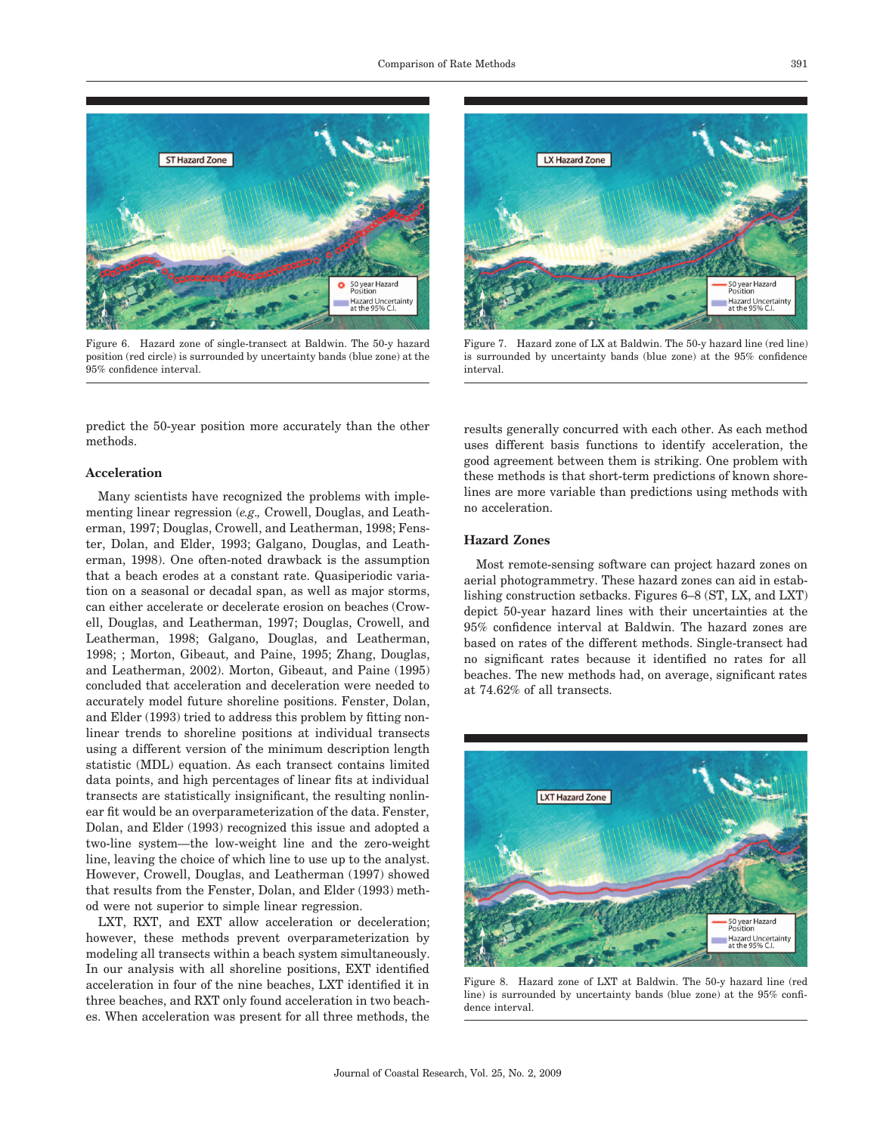

Figure 6. Hazard zone of single-transect at Baldwin. The 50-y hazard position (red circle) is surrounded by uncertainty bands (blue zone) at the 95% confidence interval.

predict the 50-year position more accurately than the other methods.

## **Acceleration**

Many scientists have recognized the problems with implementing linear regression (*e.g.,* Crowell, Douglas, and Leatherman, 1997; Douglas, Crowell, and Leatherman, 1998; Fenster, Dolan, and Elder, 1993; Galgano, Douglas, and Leatherman, 1998). One often-noted drawback is the assumption that a beach erodes at a constant rate. Quasiperiodic variation on a seasonal or decadal span, as well as major storms, can either accelerate or decelerate erosion on beaches (Crowell, Douglas, and Leatherman, 1997; Douglas, Crowell, and Leatherman, 1998; Galgano, Douglas, and Leatherman, 1998; ; Morton, Gibeaut, and Paine, 1995; Zhang, Douglas, and Leatherman, 2002). Morton, Gibeaut, and Paine (1995) concluded that acceleration and deceleration were needed to accurately model future shoreline positions. Fenster, Dolan, and Elder (1993) tried to address this problem by fitting nonlinear trends to shoreline positions at individual transects using a different version of the minimum description length statistic (MDL) equation. As each transect contains limited data points, and high percentages of linear fits at individual transects are statistically insignificant, the resulting nonlinear fit would be an overparameterization of the data. Fenster, Dolan, and Elder (1993) recognized this issue and adopted a two-line system—the low-weight line and the zero-weight line, leaving the choice of which line to use up to the analyst. However, Crowell, Douglas, and Leatherman (1997) showed that results from the Fenster, Dolan, and Elder (1993) method were not superior to simple linear regression.

LXT, RXT, and EXT allow acceleration or deceleration; however, these methods prevent overparameterization by modeling all transects within a beach system simultaneously. In our analysis with all shoreline positions, EXT identified acceleration in four of the nine beaches, LXT identified it in three beaches, and RXT only found acceleration in two beaches. When acceleration was present for all three methods, the



Figure 7. Hazard zone of LX at Baldwin. The 50-y hazard line (red line) is surrounded by uncertainty bands (blue zone) at the 95% confidence interval.

results generally concurred with each other. As each method uses different basis functions to identify acceleration, the good agreement between them is striking. One problem with these methods is that short-term predictions of known shorelines are more variable than predictions using methods with no acceleration.

#### **Hazard Zones**

Most remote-sensing software can project hazard zones on aerial photogrammetry. These hazard zones can aid in establishing construction setbacks. Figures 6–8 (ST, LX, and LXT) depict 50-year hazard lines with their uncertainties at the 95% confidence interval at Baldwin. The hazard zones are based on rates of the different methods. Single-transect had no significant rates because it identified no rates for all beaches. The new methods had, on average, significant rates at 74.62% of all transects.



Figure 8. Hazard zone of LXT at Baldwin. The 50-y hazard line (red line) is surrounded by uncertainty bands (blue zone) at the 95% confidence interval.